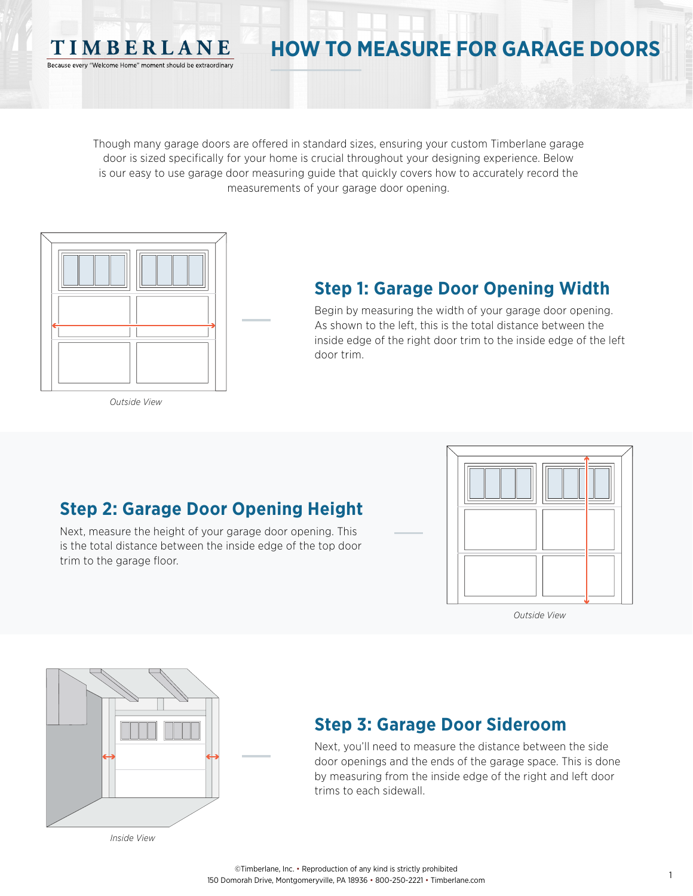#### Though many garage doors are offered in standard sizes, ensuring your custom Timberlane garage door is sized specifically for your home is crucial throughout your designing experience. Below is our easy to use garage door measuring guide that quickly covers how to accurately record the measurements of your garage door opening.



TIMBERLANE Because every "Welcome Home" moment should be extraordinary

### **Step 1: Garage Door Opening Width**

**HOW TO MEASURE FOR GARAGE DOORS**

Begin by measuring the width of your garage door opening. As shown to the left, this is the total distance between the inside edge of the right door trim to the inside edge of the left door trim.

*Outside View*

#### **Step 2: Garage Door Opening Height**

Next, measure the height of your garage door opening. This is the total distance between the inside edge of the top door trim to the garage floor.



*Outside View*



#### **Step 3: Garage Door Sideroom**

Next, you'll need to measure the distance between the side door openings and the ends of the garage space. This is done by measuring from the inside edge of the right and left door trims to each sidewall.

*Inside View*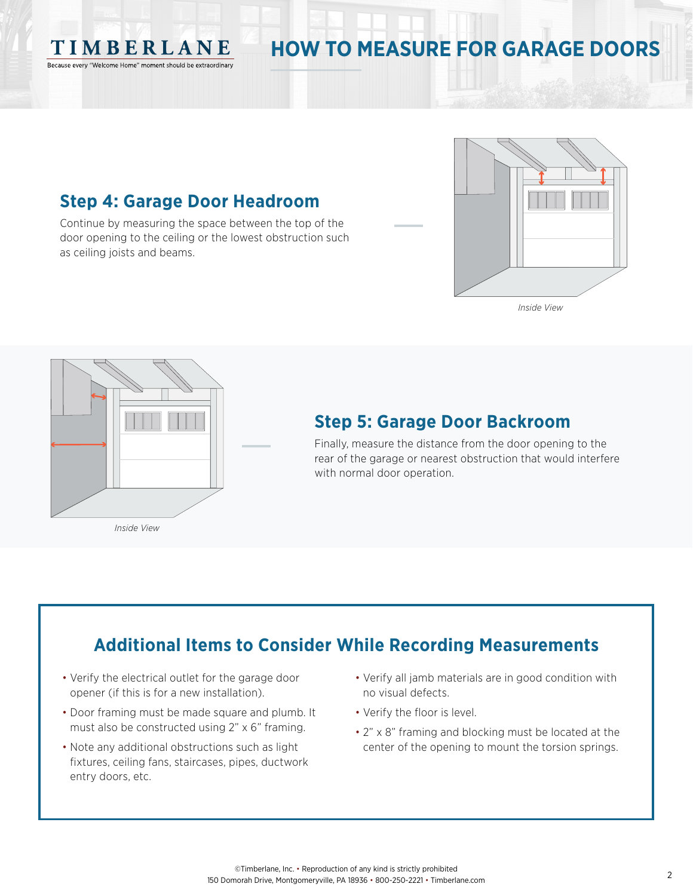

# **HOW TO MEASURE FOR GARAGE DOORS**

#### **Step 4: Garage Door Headroom**

Continue by measuring the space between the top of the door opening to the ceiling or the lowest obstruction such as ceiling joists and beams.



*Inside View*



#### **Step 5: Garage Door Backroom**

Finally, measure the distance from the door opening to the rear of the garage or nearest obstruction that would interfere with normal door operation.

## **Additional Items to Consider While Recording Measurements**

- Verify the electrical outlet for the garage door opener (if this is for a new installation).
- Door framing must be made square and plumb. It must also be constructed using 2" x 6" framing.
- Note any additional obstructions such as light fixtures, ceiling fans, staircases, pipes, ductwork entry doors, etc.
- Verify all jamb materials are in good condition with no visual defects.
- Verify the floor is level.
- 2" x 8" framing and blocking must be located at the center of the opening to mount the torsion springs.